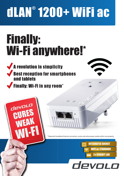# dLAN® 1200+ WiFi ac

## Finally: Wi-Fi anywhere!\*

- A revolution in simplicity Best reception for smartphones and tablets
	- Finally: Wi-Fi in any room\*

**devaL**